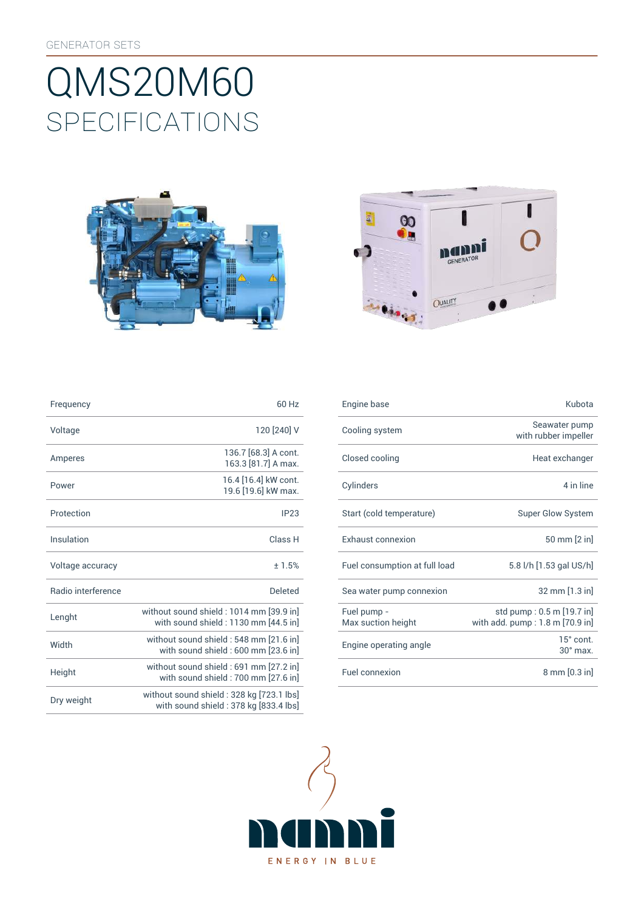# SpEcificATiONS QMS20M60





| Frequency                 | 60 Hz                                                                             |
|---------------------------|-----------------------------------------------------------------------------------|
| Voltage                   | 120 [240] V                                                                       |
| Amperes                   | 136.7 [68.3] A cont.<br>163.3 [81.7] A max.                                       |
| Power                     | 16.4 [16.4] kW cont.<br>19.6 [19.6] kW max.                                       |
| Protection                | IP23                                                                              |
| Insulation                | Class <sub>H</sub>                                                                |
| Voltage accuracy          | ±1.5%                                                                             |
| <b>Badio</b> interference | Deleted                                                                           |
| Lenght                    | without sound shield: 1014 mm [39.9 in]<br>with sound shield: 1130 mm [44.5 in]   |
| Width                     | without sound shield: 548 mm [21.6 in]<br>with sound shield: 600 mm [23.6 in]     |
| Height                    | without sound shield: 691 mm [27.2 in]<br>with sound shield: 700 mm [27.6 in]     |
| Dry weight                | without sound shield: 328 kg [723.1 lbs]<br>with sound shield: 378 kg [833.4 lbs] |

| Frequency          | 60 Hz                                                                           | Engine base                       | Kubota                                                                |
|--------------------|---------------------------------------------------------------------------------|-----------------------------------|-----------------------------------------------------------------------|
| Voltage            | 120 [240] V                                                                     | Cooling system                    | Seawater pump<br>with rubber impeller                                 |
| Amperes            | 136.7 [68.3] A cont.<br>163.3 [81.7] A max.                                     | Closed cooling                    | Heat exchanger                                                        |
| Power              | 16.4 [16.4] kW cont.<br>19.6 [19.6] kW max.                                     | Cylinders                         | 4 in line                                                             |
| Protection         | IP23                                                                            | Start (cold temperature)          | <b>Super Glow System</b>                                              |
| Insulation         | Class H                                                                         | Exhaust connexion                 | 50 mm [2 in]                                                          |
| Voltage accuracy   | ± 1.5%                                                                          | Fuel consumption at full load     | 5.8 l/h [1.53 gal US/h]                                               |
| Radio interference | <b>Deleted</b>                                                                  | Sea water pump connexion          | 32 mm [1.3 in]                                                        |
| Lenght             | without sound shield: 1014 mm [39.9 in]<br>with sound shield: 1130 mm [44.5 in] | Fuel pump -<br>Max suction height | std pump: 0.5 m [19.7 in]<br>with add. $pump:1.8 \text{ m}$ [70.9 in] |
| Width              | without sound shield: 548 mm [21.6 in]<br>with sound shield : 600 mm [23.6 in]  | Engine operating angle            | 15° cont.<br>$30^\circ$ max.                                          |
| Height             | without sound shield : 691 mm [27.2 in]<br>with sound shield: 700 mm [27.6 in]  | Fuel connexion                    | $8 \text{ mm} [0.3 \text{ in}]$                                       |